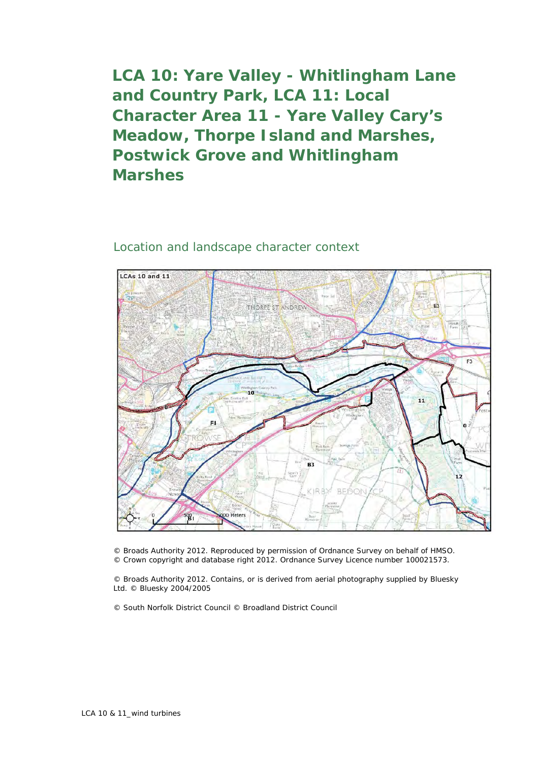**LCA 10: Yare Valley - Whitlingham Lane and Country Park, LCA 11: Local Character Area 11 - Yare Valley Cary's Meadow, Thorpe Island and Marshes, Postwick Grove and Whitlingham Marshes**

## Location and landscape character context



© Broads Authority 2012. Reproduced by permission of Ordnance Survey on behalf of HMSO. © Crown copyright and database right 2012. Ordnance Survey Licence number 100021573.

© Broads Authority 2012. Contains, or is derived from aerial photography supplied by Bluesky Ltd. © Bluesky 2004/2005

© South Norfolk District Council © Broadland District Council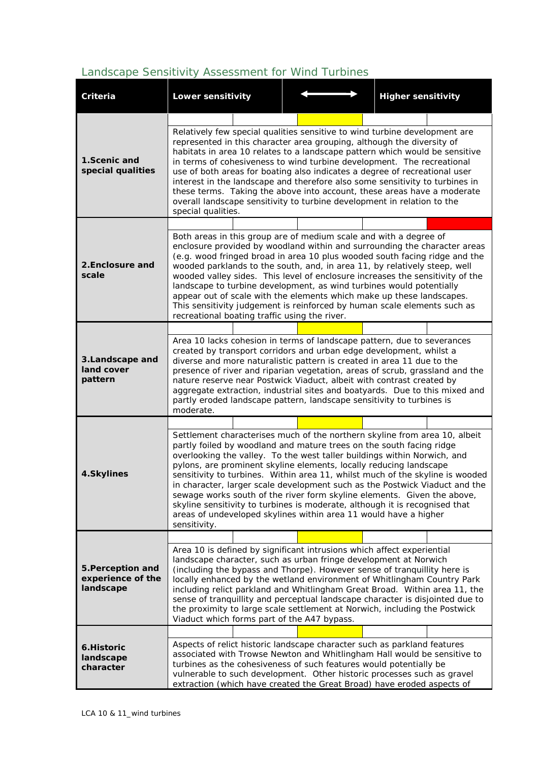## *Landscape Sensitivity Assessment for Wind Turbines*

| Criteria                                            | <b>Lower sensitivity</b>                                                                                                                                                                                                                                                                                                                                                                                                                                                                                                                                                                                                                                                                                           |  | <b>Higher sensitivity</b> |  |  |  |  |
|-----------------------------------------------------|--------------------------------------------------------------------------------------------------------------------------------------------------------------------------------------------------------------------------------------------------------------------------------------------------------------------------------------------------------------------------------------------------------------------------------------------------------------------------------------------------------------------------------------------------------------------------------------------------------------------------------------------------------------------------------------------------------------------|--|---------------------------|--|--|--|--|
|                                                     |                                                                                                                                                                                                                                                                                                                                                                                                                                                                                                                                                                                                                                                                                                                    |  |                           |  |  |  |  |
| 1.Scenic and<br>special qualities                   | Relatively few special qualities sensitive to wind turbine development are<br>represented in this character area grouping, although the diversity of<br>habitats in area 10 relates to a landscape pattern which would be sensitive<br>in terms of cohesiveness to wind turbine development. The recreational<br>use of both areas for boating also indicates a degree of recreational user<br>interest in the landscape and therefore also some sensitivity to turbines in<br>these terms. Taking the above into account, these areas have a moderate<br>overall landscape sensitivity to turbine development in relation to the<br>special qualities.                                                            |  |                           |  |  |  |  |
|                                                     |                                                                                                                                                                                                                                                                                                                                                                                                                                                                                                                                                                                                                                                                                                                    |  |                           |  |  |  |  |
| 2. Enclosure and<br>scale                           | Both areas in this group are of medium scale and with a degree of<br>enclosure provided by woodland within and surrounding the character areas<br>(e.g. wood fringed broad in area 10 plus wooded south facing ridge and the<br>wooded parklands to the south, and, in area 11, by relatively steep, well<br>wooded valley sides. This level of enclosure increases the sensitivity of the<br>landscape to turbine development, as wind turbines would potentially<br>appear out of scale with the elements which make up these landscapes.<br>This sensitivity judgement is reinforced by human scale elements such as<br>recreational boating traffic using the river.                                           |  |                           |  |  |  |  |
|                                                     |                                                                                                                                                                                                                                                                                                                                                                                                                                                                                                                                                                                                                                                                                                                    |  |                           |  |  |  |  |
| 3.Landscape and<br>land cover<br>pattern            | Area 10 lacks cohesion in terms of landscape pattern, due to severances<br>created by transport corridors and urban edge development, whilst a<br>diverse and more naturalistic pattern is created in area 11 due to the<br>presence of river and riparian vegetation, areas of scrub, grassland and the<br>nature reserve near Postwick Viaduct, albeit with contrast created by<br>aggregate extraction, industrial sites and boatyards. Due to this mixed and<br>partly eroded landscape pattern, landscape sensitivity to turbines is<br>moderate.                                                                                                                                                             |  |                           |  |  |  |  |
|                                                     |                                                                                                                                                                                                                                                                                                                                                                                                                                                                                                                                                                                                                                                                                                                    |  |                           |  |  |  |  |
| 4.Skylines                                          | Settlement characterises much of the northern skyline from area 10, albeit<br>partly foiled by woodland and mature trees on the south facing ridge<br>overlooking the valley. To the west taller buildings within Norwich, and<br>pylons, are prominent skyline elements, locally reducing landscape<br>sensitivity to turbines. Within area 11, whilst much of the skyline is wooded<br>in character, larger scale development such as the Postwick Viaduct and the<br>sewage works south of the river form skyline elements. Given the above,<br>skyline sensitivity to turbines is moderate, although it is recognised that<br>areas of undeveloped skylines within area 11 would have a higher<br>sensitivity. |  |                           |  |  |  |  |
|                                                     |                                                                                                                                                                                                                                                                                                                                                                                                                                                                                                                                                                                                                                                                                                                    |  |                           |  |  |  |  |
| 5. Perception and<br>experience of the<br>landscape | Area 10 is defined by significant intrusions which affect experiential<br>landscape character, such as urban fringe development at Norwich<br>(including the bypass and Thorpe). However sense of tranquillity here is<br>locally enhanced by the wetland environment of Whitlingham Country Park<br>including relict parkland and Whitlingham Great Broad. Within area 11, the<br>sense of tranquillity and perceptual landscape character is disjointed due to<br>the proximity to large scale settlement at Norwich, including the Postwick<br>Viaduct which forms part of the A47 bypass.                                                                                                                      |  |                           |  |  |  |  |
|                                                     |                                                                                                                                                                                                                                                                                                                                                                                                                                                                                                                                                                                                                                                                                                                    |  |                           |  |  |  |  |
| 6.Historic<br>landscape<br>character                | Aspects of relict historic landscape character such as parkland features<br>associated with Trowse Newton and Whitlingham Hall would be sensitive to<br>turbines as the cohesiveness of such features would potentially be<br>vulnerable to such development. Other historic processes such as gravel<br>extraction (which have created the Great Broad) have eroded aspects of                                                                                                                                                                                                                                                                                                                                    |  |                           |  |  |  |  |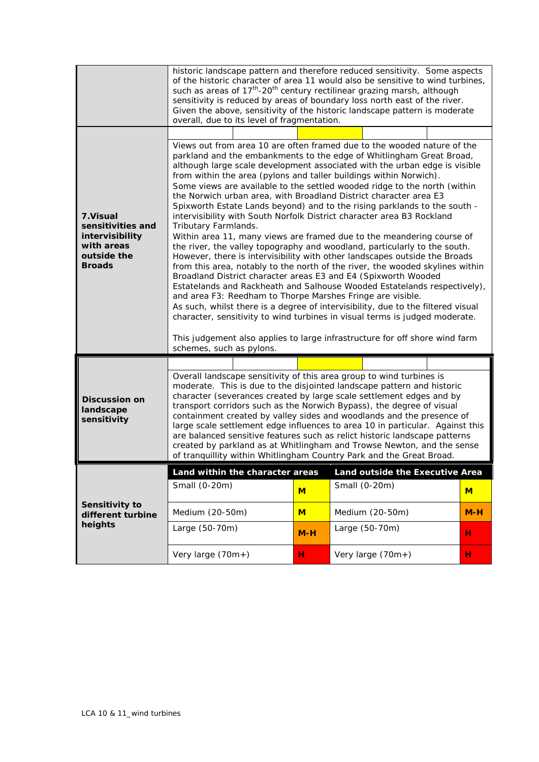|                                                                                                 | historic landscape pattern and therefore reduced sensitivity. Some aspects<br>of the historic character of area 11 would also be sensitive to wind turbines,<br>such as areas of 17 <sup>th</sup> -20 <sup>th</sup> century rectilinear grazing marsh, although<br>sensitivity is reduced by areas of boundary loss north east of the river.<br>Given the above, sensitivity of the historic landscape pattern is moderate<br>overall, due to its level of fragmentation.                                                                                                                                                                                                                                                                                                                                                                                                                                                                                                                                                                                                                                                                                                                                                                                                                                                                                                                                                                           |       |                                 |       |  |
|-------------------------------------------------------------------------------------------------|-----------------------------------------------------------------------------------------------------------------------------------------------------------------------------------------------------------------------------------------------------------------------------------------------------------------------------------------------------------------------------------------------------------------------------------------------------------------------------------------------------------------------------------------------------------------------------------------------------------------------------------------------------------------------------------------------------------------------------------------------------------------------------------------------------------------------------------------------------------------------------------------------------------------------------------------------------------------------------------------------------------------------------------------------------------------------------------------------------------------------------------------------------------------------------------------------------------------------------------------------------------------------------------------------------------------------------------------------------------------------------------------------------------------------------------------------------|-------|---------------------------------|-------|--|
| 7. Visual<br>sensitivities and<br>intervisibility<br>with areas<br>outside the<br><b>Broads</b> | Views out from area 10 are often framed due to the wooded nature of the<br>parkland and the embankments to the edge of Whitlingham Great Broad,<br>although large scale development associated with the urban edge is visible<br>from within the area (pylons and taller buildings within Norwich).<br>Some views are available to the settled wooded ridge to the north (within<br>the Norwich urban area, with Broadland District character area E3<br>Spixworth Estate Lands beyond) and to the rising parklands to the south -<br>intervisibility with South Norfolk District character area B3 Rockland<br>Tributary Farmlands.<br>Within area 11, many views are framed due to the meandering course of<br>the river, the valley topography and woodland, particularly to the south.<br>However, there is intervisibility with other landscapes outside the Broads<br>from this area, notably to the north of the river, the wooded skylines within<br>Broadland District character areas E3 and E4 (Spixworth Wooded<br>Estatelands and Rackheath and Salhouse Wooded Estatelands respectively),<br>and area F3: Reedham to Thorpe Marshes Fringe are visible.<br>As such, whilst there is a degree of intervisibility, due to the filtered visual<br>character, sensitivity to wind turbines in visual terms is judged moderate.<br>This judgement also applies to large infrastructure for off shore wind farm<br>schemes, such as pylons. |       |                                 |       |  |
| <b>Discussion on</b><br>landscape<br>sensitivity                                                |                                                                                                                                                                                                                                                                                                                                                                                                                                                                                                                                                                                                                                                                                                                                                                                                                                                                                                                                                                                                                                                                                                                                                                                                                                                                                                                                                                                                                                                     |       |                                 |       |  |
|                                                                                                 | Overall landscape sensitivity of this area group to wind turbines is<br>moderate. This is due to the disjointed landscape pattern and historic<br>character (severances created by large scale settlement edges and by<br>transport corridors such as the Norwich Bypass), the degree of visual<br>containment created by valley sides and woodlands and the presence of<br>large scale settlement edge influences to area 10 in particular. Against this<br>are balanced sensitive features such as relict historic landscape patterns<br>created by parkland as at Whitlingham and Trowse Newton, and the sense<br>of tranquillity within Whitlingham Country Park and the Great Broad.                                                                                                                                                                                                                                                                                                                                                                                                                                                                                                                                                                                                                                                                                                                                                           |       |                                 |       |  |
| Sensitivity to<br>different turbine<br>heights                                                  | Land within the character areas                                                                                                                                                                                                                                                                                                                                                                                                                                                                                                                                                                                                                                                                                                                                                                                                                                                                                                                                                                                                                                                                                                                                                                                                                                                                                                                                                                                                                     |       | Land outside the Executive Area |       |  |
|                                                                                                 | Small (0-20m)                                                                                                                                                                                                                                                                                                                                                                                                                                                                                                                                                                                                                                                                                                                                                                                                                                                                                                                                                                                                                                                                                                                                                                                                                                                                                                                                                                                                                                       | $M$   | Small (0-20m)                   | M     |  |
|                                                                                                 | Medium (20-50m)                                                                                                                                                                                                                                                                                                                                                                                                                                                                                                                                                                                                                                                                                                                                                                                                                                                                                                                                                                                                                                                                                                                                                                                                                                                                                                                                                                                                                                     | $M$   | Medium (20-50m)                 | $M-H$ |  |
|                                                                                                 | Large (50-70m)                                                                                                                                                                                                                                                                                                                                                                                                                                                                                                                                                                                                                                                                                                                                                                                                                                                                                                                                                                                                                                                                                                                                                                                                                                                                                                                                                                                                                                      | $M-H$ | Large (50-70m)                  | н     |  |
|                                                                                                 |                                                                                                                                                                                                                                                                                                                                                                                                                                                                                                                                                                                                                                                                                                                                                                                                                                                                                                                                                                                                                                                                                                                                                                                                                                                                                                                                                                                                                                                     |       |                                 |       |  |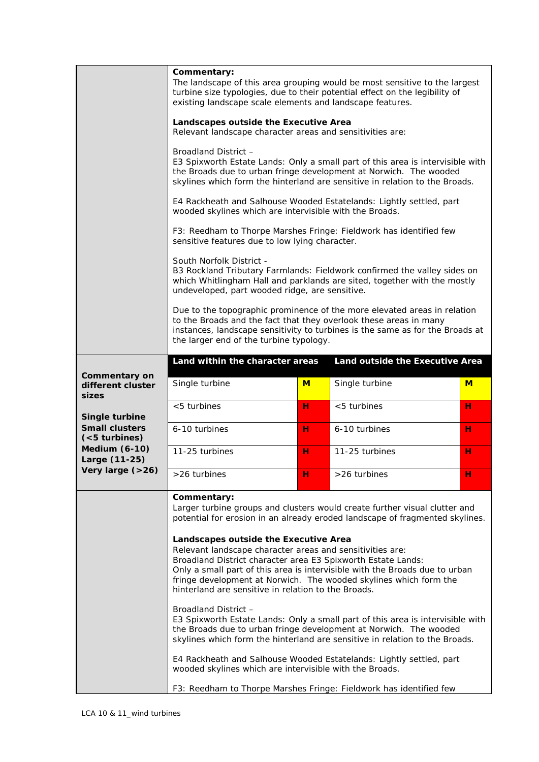|                                                                                                    | Commentary:<br>The landscape of this area grouping would be most sensitive to the largest<br>turbine size typologies, due to their potential effect on the legibility of<br>existing landscape scale elements and landscape features.<br>Landscapes outside the Executive Area<br>Relevant landscape character areas and sensitivities are:<br>Broadland District -<br>E3 Spixworth Estate Lands: Only a small part of this area is intervisible with<br>the Broads due to urban fringe development at Norwich. The wooded<br>skylines which form the hinterland are sensitive in relation to the Broads.<br>E4 Rackheath and Salhouse Wooded Estatelands: Lightly settled, part<br>wooded skylines which are intervisible with the Broads.<br>F3: Reedham to Thorpe Marshes Fringe: Fieldwork has identified few<br>sensitive features due to low lying character.<br>South Norfolk District -<br>B3 Rockland Tributary Farmlands: Fieldwork confirmed the valley sides on<br>which Whitlingham Hall and parklands are sited, together with the mostly<br>undeveloped, part wooded ridge, are sensitive. |                                                                                                                                                                                                                                |                                 |   |  |
|----------------------------------------------------------------------------------------------------|-----------------------------------------------------------------------------------------------------------------------------------------------------------------------------------------------------------------------------------------------------------------------------------------------------------------------------------------------------------------------------------------------------------------------------------------------------------------------------------------------------------------------------------------------------------------------------------------------------------------------------------------------------------------------------------------------------------------------------------------------------------------------------------------------------------------------------------------------------------------------------------------------------------------------------------------------------------------------------------------------------------------------------------------------------------------------------------------------------------|--------------------------------------------------------------------------------------------------------------------------------------------------------------------------------------------------------------------------------|---------------------------------|---|--|
|                                                                                                    | the larger end of the turbine typology.                                                                                                                                                                                                                                                                                                                                                                                                                                                                                                                                                                                                                                                                                                                                                                                                                                                                                                                                                                                                                                                                   | Due to the topographic prominence of the more elevated areas in relation<br>to the Broads and the fact that they overlook these areas in many<br>instances, landscape sensitivity to turbines is the same as for the Broads at |                                 |   |  |
|                                                                                                    | Land within the character areas                                                                                                                                                                                                                                                                                                                                                                                                                                                                                                                                                                                                                                                                                                                                                                                                                                                                                                                                                                                                                                                                           |                                                                                                                                                                                                                                | Land outside the Executive Area |   |  |
| Commentary on<br>different cluster<br>sizes                                                        | Single turbine                                                                                                                                                                                                                                                                                                                                                                                                                                                                                                                                                                                                                                                                                                                                                                                                                                                                                                                                                                                                                                                                                            | M                                                                                                                                                                                                                              | Single turbine                  | M |  |
| Single turbine<br><b>Small clusters</b><br>$(5$ turbines)<br><b>Medium (6-10)</b><br>Large (11-25) | $<$ 5 turbines                                                                                                                                                                                                                                                                                                                                                                                                                                                                                                                                                                                                                                                                                                                                                                                                                                                                                                                                                                                                                                                                                            | н                                                                                                                                                                                                                              | $<$ 5 turbines                  | н |  |
|                                                                                                    | 6-10 turbines                                                                                                                                                                                                                                                                                                                                                                                                                                                                                                                                                                                                                                                                                                                                                                                                                                                                                                                                                                                                                                                                                             | н                                                                                                                                                                                                                              | 6-10 turbines                   | н |  |
|                                                                                                    | 11-25 turbines                                                                                                                                                                                                                                                                                                                                                                                                                                                                                                                                                                                                                                                                                                                                                                                                                                                                                                                                                                                                                                                                                            | н                                                                                                                                                                                                                              | 11-25 turbines                  | н |  |
| Very large $(>26)$                                                                                 | >26 turbines                                                                                                                                                                                                                                                                                                                                                                                                                                                                                                                                                                                                                                                                                                                                                                                                                                                                                                                                                                                                                                                                                              | н                                                                                                                                                                                                                              | >26 turbines                    | н |  |
|                                                                                                    | Commentary:<br>Larger turbine groups and clusters would create further visual clutter and<br>potential for erosion in an already eroded landscape of fragmented skylines.<br>Landscapes outside the Executive Area<br>Relevant landscape character areas and sensitivities are:<br>Broadland District character area E3 Spixworth Estate Lands:<br>Only a small part of this area is intervisible with the Broads due to urban<br>fringe development at Norwich. The wooded skylines which form the<br>hinterland are sensitive in relation to the Broads.<br>Broadland District -<br>E3 Spixworth Estate Lands: Only a small part of this area is intervisible with<br>the Broads due to urban fringe development at Norwich. The wooded<br>skylines which form the hinterland are sensitive in relation to the Broads.<br>E4 Rackheath and Salhouse Wooded Estatelands: Lightly settled, part<br>wooded skylines which are intervisible with the Broads.<br>F3: Reedham to Thorpe Marshes Fringe: Fieldwork has identified few                                                                          |                                                                                                                                                                                                                                |                                 |   |  |